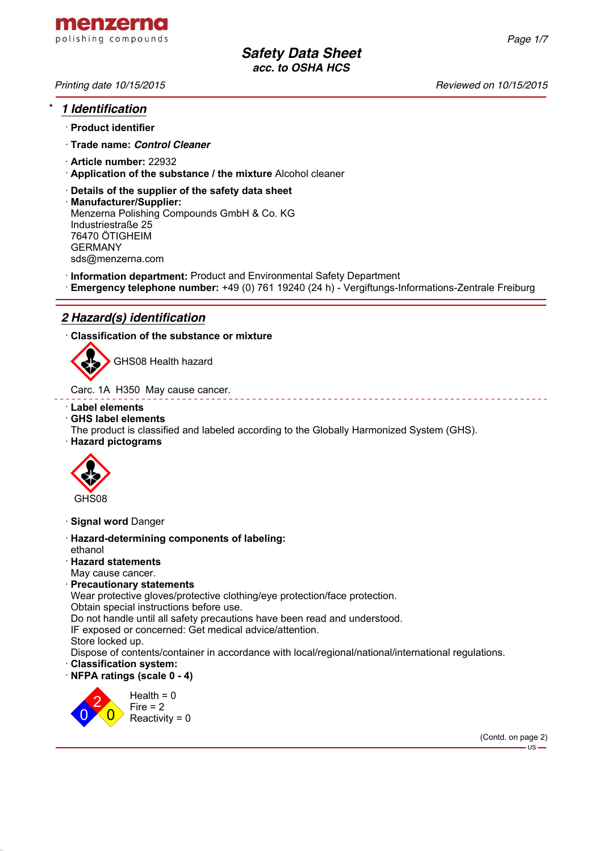

# \* *1 Identification*

- · **Product identifier**
- · **Trade name:** *Control Cleaner*
- · **Article number:** 22932
- · **Application of the substance / the mixture** Alcohol cleaner
- · **Details of the supplier of the safety data sheet**
- · **Manufacturer/Supplier:** Menzerna Polishing Compounds GmbH & Co. KG Industriestraße 25 76470 ÖTIGHEIM GERMANY sds@menzerna.com
- · **Information department:** Product and Environmental Safety Department
- · **Emergency telephone number:** +49 (0) 761 19240 (24 h) Vergiftungs-Informations-Zentrale Freiburg

# *2 Hazard(s) identification*

· **Classification of the substance or mixture**



GHS08 Health hazard

Carc. 1A H350 May cause cancer.

· **Label elements**

### · **GHS label elements**

- The product is classified and labeled according to the Globally Harmonized System (GHS).
- · **Hazard pictograms**



- · **Signal word** Danger
- · **Hazard-determining components of labeling:** ethanol
- · **Hazard statements**
- May cause cancer.

#### · **Precautionary statements**

Wear protective gloves/protective clothing/eye protection/face protection.

Obtain special instructions before use.

Do not handle until all safety precautions have been read and understood.

IF exposed or concerned: Get medical advice/attention.

Store locked up.

Dispose of contents/container in accordance with local/regional/national/international regulations.

- · **Classification system:**
- · **NFPA ratings (scale 0 4)**



\_ \_ \_ \_ \_ \_ \_ \_ \_ \_ \_ \_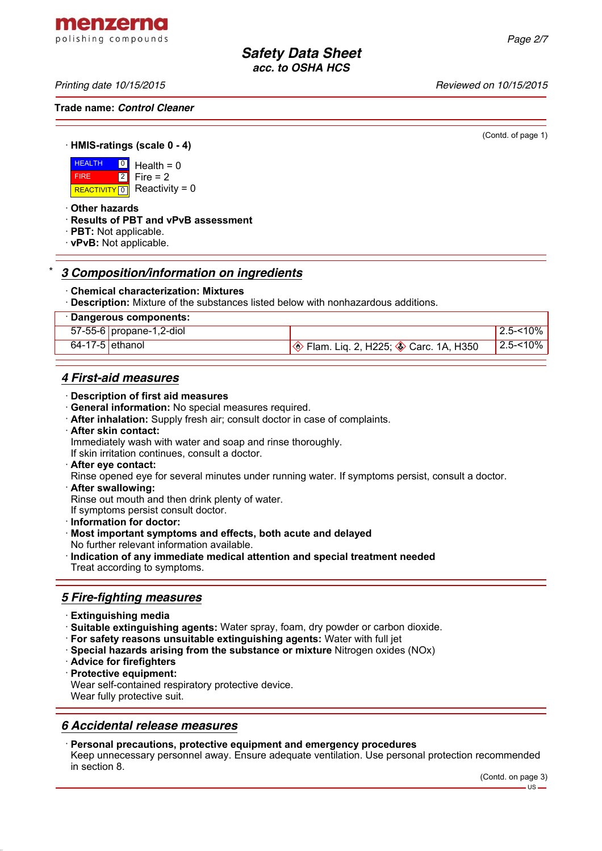menzerna polishing compounds

*Printing date 10/15/2015 Reviewed on 10/15/2015*

**Trade name:** *Control Cleaner*

(Contd. of page 1)

· **HMIS-ratings (scale 0 - 4)**

**HEALTH**  FIRE REACTIVITY  $\boxed{0}$  Reactivity = 0  $\boxed{0}$ 2 Health  $= 0$  $Fire = 2$ 

· **Other hazards**

- · **Results of PBT and vPvB assessment**
- · **PBT:** Not applicable.
- · **vPvB:** Not applicable.

## \* *3 Composition/information on ingredients*

- · **Chemical characterization: Mixtures**
- · **Description:** Mixture of the substances listed below with nonhazardous additions.

| · Dangerous components:  |                                                             |                 |
|--------------------------|-------------------------------------------------------------|-----------------|
| 57-55-6 propane-1,2-diol |                                                             | $12.5 - 10\%$ . |
| $64-17-5$ ethanol        | <b>Solution</b> Eq. 2, H225; <b>Solution</b> Carc. 1A, H350 | $12.5 - 10\%$   |
|                          |                                                             |                 |

## *4 First-aid measures*

- · **Description of first aid measures**
- · **General information:** No special measures required.
- · **After inhalation:** Supply fresh air; consult doctor in case of complaints.
- · **After skin contact:**

Immediately wash with water and soap and rinse thoroughly.

If skin irritation continues, consult a doctor.

- · **After eye contact:**
- Rinse opened eye for several minutes under running water. If symptoms persist, consult a doctor.
- · **After swallowing:**

Rinse out mouth and then drink plenty of water.

- If symptoms persist consult doctor.
- · **Information for doctor:**
- · **Most important symptoms and effects, both acute and delayed** No further relevant information available.
- · **Indication of any immediate medical attention and special treatment needed** Treat according to symptoms.

## *5 Fire-fighting measures*

- · **Extinguishing media**
- · **Suitable extinguishing agents:** Water spray, foam, dry powder or carbon dioxide.
- · **For safety reasons unsuitable extinguishing agents:** Water with full jet
- · **Special hazards arising from the substance or mixture** Nitrogen oxides (NOx)
- · **Advice for firefighters**
- · **Protective equipment:**

Wear self-contained respiratory protective device.

Wear fully protective suit.

## *6 Accidental release measures*

#### · **Personal precautions, protective equipment and emergency procedures**

Keep unnecessary personnel away. Ensure adequate ventilation. Use personal protection recommended in section 8.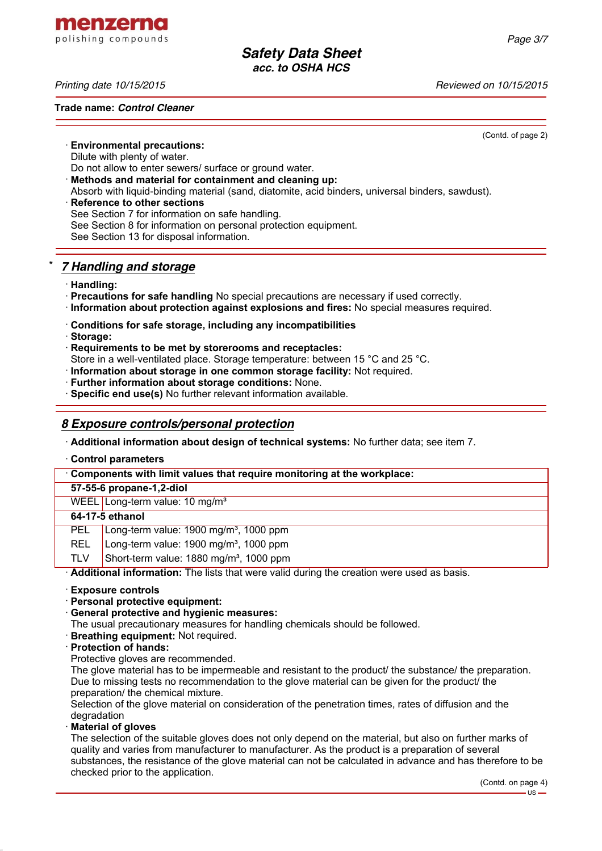menzerna polishing compounds

*Printing date 10/15/2015 Reviewed on 10/15/2015*

**Trade name:** *Control Cleaner*

(Contd. of page 2)

· **Environmental precautions:**

Dilute with plenty of water.

Do not allow to enter sewers/ surface or ground water.

- · **Methods and material for containment and cleaning up:**
- Absorb with liquid-binding material (sand, diatomite, acid binders, universal binders, sawdust).
- **Reference to other sections** See Section 7 for information on safe handling. See Section 8 for information on personal protection equipment. See Section 13 for disposal information.

## \* *7 Handling and storage*

- · **Handling:**
- · **Precautions for safe handling** No special precautions are necessary if used correctly.
- · **Information about protection against explosions and fires:** No special measures required.
- · **Conditions for safe storage, including any incompatibilities**
- · **Storage:**
- · **Requirements to be met by storerooms and receptacles:**

Store in a well-ventilated place. Storage temperature: between 15 °C and 25 °C.

· **Information about storage in one common storage facility:** Not required.

- · **Further information about storage conditions:** None.
- · **Specific end use(s)** No further relevant information available.

## *8 Exposure controls/personal protection*

· **Additional information about design of technical systems:** No further data; see item 7.

· **Control parameters**

· **Components with limit values that require monitoring at the workplace:**

**57-55-6 propane-1,2-diol**

WEEL Long-term value: 10 mg/m<sup>3</sup>

## **64-17-5 ethanol**

- PEL Long-term value: 1900 mg/m<sup>3</sup>, 1000 ppm
- REL Long-term value: 1900 mg/m<sup>3</sup>, 1000 ppm
- TLV Short-term value:  $1880$  mg/m<sup>3</sup>, 1000 ppm

· **Additional information:** The lists that were valid during the creation were used as basis.

- · **Exposure controls**
- · **Personal protective equipment:**
- · **General protective and hygienic measures:**

The usual precautionary measures for handling chemicals should be followed.

- · **Breathing equipment:** Not required.
- · **Protection of hands:**

Protective gloves are recommended.

The glove material has to be impermeable and resistant to the product/ the substance/ the preparation. Due to missing tests no recommendation to the glove material can be given for the product/ the preparation/ the chemical mixture.

Selection of the glove material on consideration of the penetration times, rates of diffusion and the degradation

· **Material of gloves**

The selection of the suitable gloves does not only depend on the material, but also on further marks of quality and varies from manufacturer to manufacturer. As the product is a preparation of several substances, the resistance of the glove material can not be calculated in advance and has therefore to be checked prior to the application.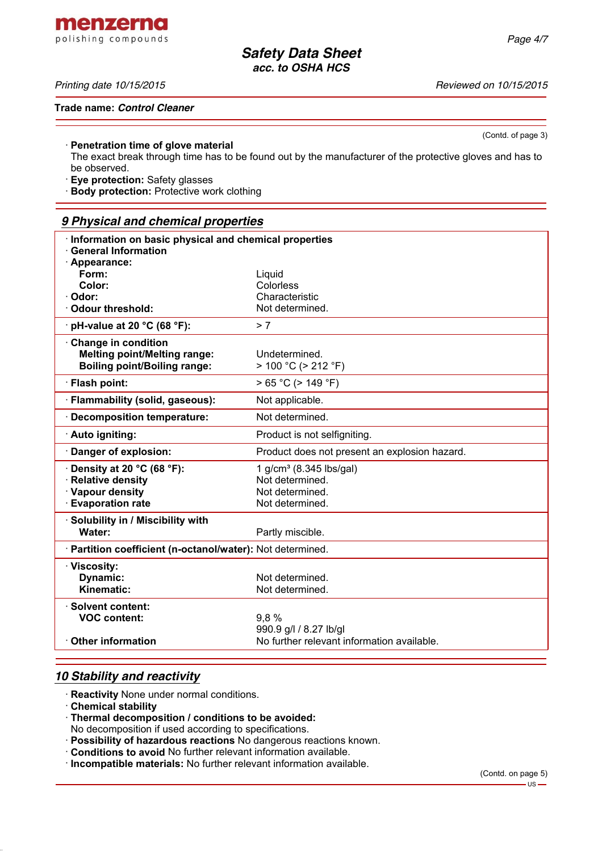menzerna polishing compounds

#### *Printing date 10/15/2015 Reviewed on 10/15/2015*

**Trade name:** *Control Cleaner*

(Contd. of page 3)

#### · **Penetration time of glove material**

The exact break through time has to be found out by the manufacturer of the protective gloves and has to be observed.

· **Eye protection:** Safety glasses

· **Body protection:** Protective work clothing

## *9 Physical and chemical properties*

| Information on basic physical and chemical properties                                             |                                                                      |  |
|---------------------------------------------------------------------------------------------------|----------------------------------------------------------------------|--|
| <b>General Information</b>                                                                        |                                                                      |  |
| · Appearance:<br>Form:                                                                            | Liquid                                                               |  |
| Color:                                                                                            | Colorless                                                            |  |
| · Odor:                                                                                           | Characteristic                                                       |  |
| Odour threshold:                                                                                  | Not determined.                                                      |  |
| $\cdot$ pH-value at 20 °C (68 °F):                                                                | > 7                                                                  |  |
| Change in condition<br><b>Melting point/Melting range:</b><br><b>Boiling point/Boiling range:</b> | Undetermined.<br>$> 100 °C$ ( $> 212 °F$ )                           |  |
| · Flash point:                                                                                    | $> 65 °C$ ( $> 149 °F$ )                                             |  |
| · Flammability (solid, gaseous):                                                                  | Not applicable.                                                      |  |
| · Decomposition temperature:                                                                      | Not determined.                                                      |  |
| · Auto igniting:                                                                                  | Product is not selfigniting.                                         |  |
| Danger of explosion:                                                                              | Product does not present an explosion hazard.                        |  |
| $\cdot$ Density at 20 °C (68 °F):                                                                 | 1 g/cm <sup>3</sup> (8.345 lbs/gal)                                  |  |
| · Relative density                                                                                | Not determined.                                                      |  |
| · Vapour density<br><b>Evaporation rate</b>                                                       | Not determined.                                                      |  |
|                                                                                                   | Not determined.                                                      |  |
| · Solubility in / Miscibility with<br>Water:                                                      |                                                                      |  |
|                                                                                                   | Partly miscible.                                                     |  |
| · Partition coefficient (n-octanol/water): Not determined.                                        |                                                                      |  |
| · Viscosity:                                                                                      |                                                                      |  |
| Dynamic:                                                                                          | Not determined.                                                      |  |
| <b>Kinematic:</b>                                                                                 | Not determined.                                                      |  |
| · Solvent content:                                                                                |                                                                      |  |
| <b>VOC content:</b>                                                                               | 9,8%                                                                 |  |
| $\cdot$ Other information                                                                         | 990.9 g/l / 8.27 lb/gl<br>No further relevant information available. |  |
|                                                                                                   |                                                                      |  |

# *10 Stability and reactivity*

· **Reactivity** None under normal conditions.

- · **Chemical stability**
- · **Thermal decomposition / conditions to be avoided:**

No decomposition if used according to specifications.

- · **Possibility of hazardous reactions** No dangerous reactions known.
- · **Conditions to avoid** No further relevant information available.
- · **Incompatible materials:** No further relevant information available.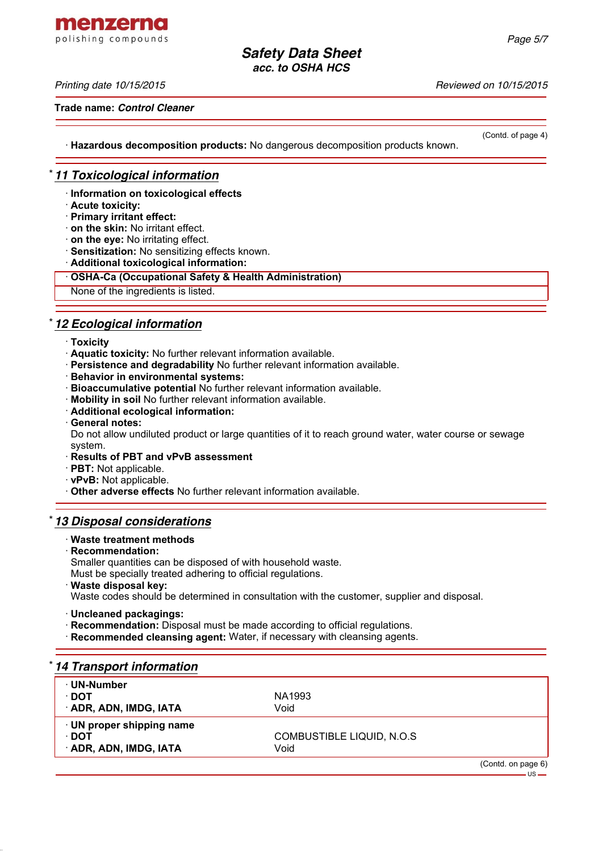menzerna polishing compounds

#### *Printing date 10/15/2015 Reviewed on 10/15/2015*

**Trade name:** *Control Cleaner*

(Contd. of page 4)

· **Hazardous decomposition products:** No dangerous decomposition products known.

## \* *11 Toxicological information*

- · **Information on toxicological effects**
- · **Acute toxicity:**
- · **Primary irritant effect:**
- · **on the skin:** No irritant effect.
- · **on the eye:** No irritating effect.
- · **Sensitization:** No sensitizing effects known.
- · **Additional toxicological information:**
- · **OSHA-Ca (Occupational Safety & Health Administration)**

None of the ingredients is listed.

## \* *12 Ecological information*

- · **Toxicity**
- · **Aquatic toxicity:** No further relevant information available.
- · **Persistence and degradability** No further relevant information available.
- · **Behavior in environmental systems:**
- · **Bioaccumulative potential** No further relevant information available.
- · **Mobility in soil** No further relevant information available.
- · **Additional ecological information:**
- · **General notes:**

Do not allow undiluted product or large quantities of it to reach ground water, water course or sewage system.

- · **Results of PBT and vPvB assessment**
- · **PBT:** Not applicable.
- · **vPvB:** Not applicable.

· **Other adverse effects** No further relevant information available.

#### \* *13 Disposal considerations*

#### · **Waste treatment methods**

· **Recommendation:**

Smaller quantities can be disposed of with household waste.

Must be specially treated adhering to official regulations.

· **Waste disposal key:**

Waste codes should be determined in consultation with the customer, supplier and disposal.

- · **Uncleaned packagings:**
- · **Recommendation:** Disposal must be made according to official regulations.
- · **Recommended cleansing agent:** Water, if necessary with cleansing agents.

## \* *14 Transport information*

| $\cdot$ UN-Number         |                           |  |
|---------------------------|---------------------------|--|
| ∙ DOT                     | NA1993                    |  |
| · ADR, ADN, IMDG, IATA    | Void                      |  |
| · UN proper shipping name |                           |  |
| ∙ DOT                     | COMBUSTIBLE LIQUID, N.O.S |  |
| · ADR, ADN, IMDG, IATA    | Void                      |  |
|                           |                           |  |

(Contd. on page 6)  $-US -$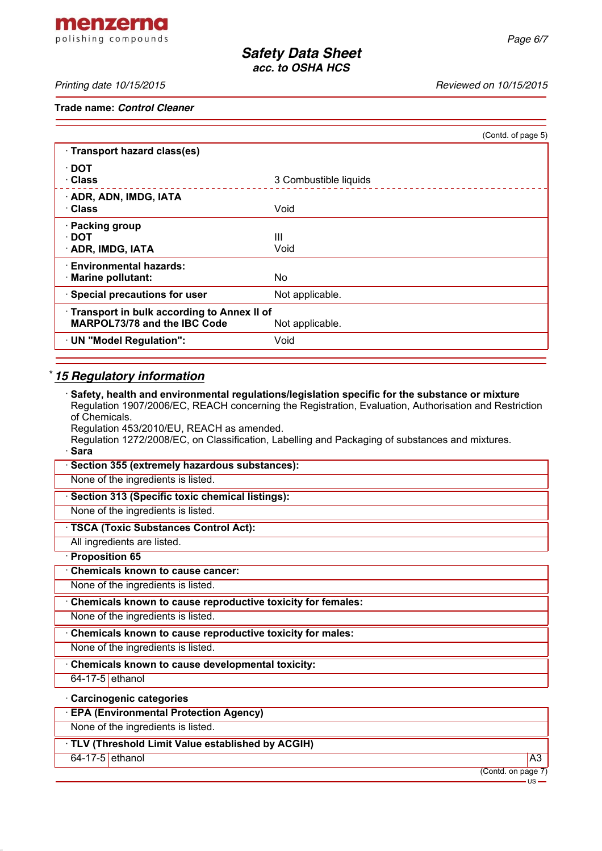menzerna polishing compounds

*Printing date 10/15/2015 Reviewed on 10/15/2015*

**Trade name:** *Control Cleaner*

| (Contd. of page 5)                                              |
|-----------------------------------------------------------------|
|                                                                 |
| 3 Combustible liquids                                           |
| Void                                                            |
| Ш<br>Void                                                       |
| No.                                                             |
| Not applicable.                                                 |
| · Transport in bulk according to Annex II of<br>Not applicable. |
| Void                                                            |
|                                                                 |

# \* *15 Regulatory information*

· **Safety, health and environmental regulations/legislation specific for the substance or mixture** Regulation 1907/2006/EC, REACH concerning the Registration, Evaluation, Authorisation and Restriction of Chemicals.

Regulation 453/2010/EU, REACH as amended.

Regulation 1272/2008/EC, on Classification, Labelling and Packaging of substances and mixtures. · **Sara**

| · Section 355 (extremely hazardous substances): |  |
|-------------------------------------------------|--|
|-------------------------------------------------|--|

None of the ingredients is listed.

· **Section 313 (Specific toxic chemical listings):**

None of the ingredients is listed.

· **TSCA (Toxic Substances Control Act):**

All ingredients are listed.

#### · **Proposition 65**

· **Chemicals known to cause cancer:**

None of the ingredients is listed.

· **Chemicals known to cause reproductive toxicity for females:**

None of the ingredients is listed.

· **Chemicals known to cause reproductive toxicity for males:**

None of the ingredients is listed.

· **Chemicals known to cause developmental toxicity:**

64-17-5 ethanol

#### · **Carcinogenic categories**

· **EPA (Environmental Protection Agency)**

None of the ingredients is listed.

## · **TLV (Threshold Limit Value established by ACGIH)**

64-17-5 ethanol A3

(Contd. on page 7)